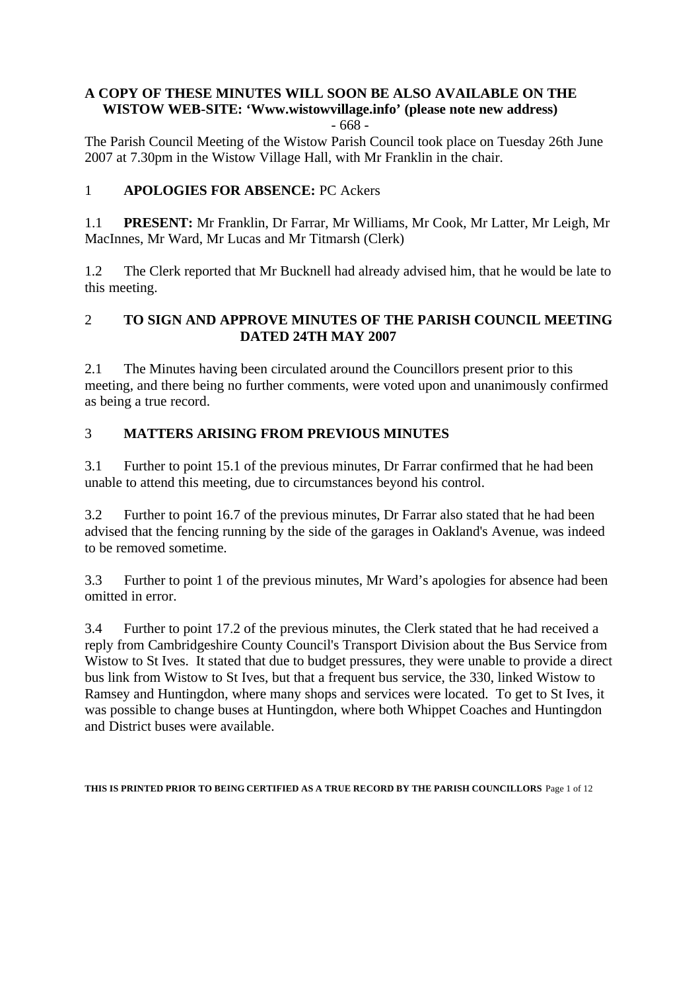# **A COPY OF THESE MINUTES WILL SOON BE ALSO AVAILABLE ON THE WISTOW WEB-SITE: 'Www.wistowvillage.info' (please note new address)**

- 668 -

The Parish Council Meeting of the Wistow Parish Council took place on Tuesday 26th June 2007 at 7.30pm in the Wistow Village Hall, with Mr Franklin in the chair.

## 1 **APOLOGIES FOR ABSENCE:** PC Ackers

1.1 **PRESENT:** Mr Franklin, Dr Farrar, Mr Williams, Mr Cook, Mr Latter, Mr Leigh, Mr MacInnes, Mr Ward, Mr Lucas and Mr Titmarsh (Clerk)

1.2 The Clerk reported that Mr Bucknell had already advised him, that he would be late to this meeting.

## 2 **TO SIGN AND APPROVE MINUTES OF THE PARISH COUNCIL MEETING DATED 24TH MAY 2007**

2.1 The Minutes having been circulated around the Councillors present prior to this meeting, and there being no further comments, were voted upon and unanimously confirmed as being a true record.

## 3 **MATTERS ARISING FROM PREVIOUS MINUTES**

3.1 Further to point 15.1 of the previous minutes, Dr Farrar confirmed that he had been unable to attend this meeting, due to circumstances beyond his control.

3.2 Further to point 16.7 of the previous minutes, Dr Farrar also stated that he had been advised that the fencing running by the side of the garages in Oakland's Avenue, was indeed to be removed sometime.

3.3 Further to point 1 of the previous minutes, Mr Ward's apologies for absence had been omitted in error.

3.4 Further to point 17.2 of the previous minutes, the Clerk stated that he had received a reply from Cambridgeshire County Council's Transport Division about the Bus Service from Wistow to St Ives. It stated that due to budget pressures, they were unable to provide a direct bus link from Wistow to St Ives, but that a frequent bus service, the 330, linked Wistow to Ramsey and Huntingdon, where many shops and services were located. To get to St Ives, it was possible to change buses at Huntingdon, where both Whippet Coaches and Huntingdon and District buses were available.

**THIS IS PRINTED PRIOR TO BEING CERTIFIED AS A TRUE RECORD BY THE PARISH COUNCILLORS** Page 1 of 12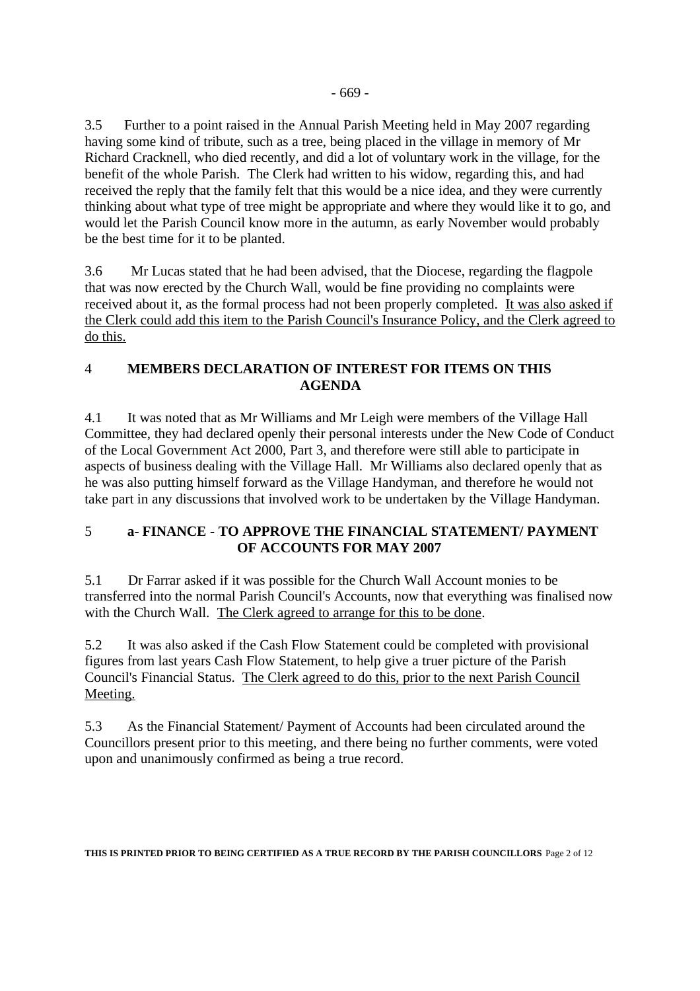3.5 Further to a point raised in the Annual Parish Meeting held in May 2007 regarding having some kind of tribute, such as a tree, being placed in the village in memory of Mr Richard Cracknell, who died recently, and did a lot of voluntary work in the village, for the benefit of the whole Parish. The Clerk had written to his widow, regarding this, and had received the reply that the family felt that this would be a nice idea, and they were currently thinking about what type of tree might be appropriate and where they would like it to go, and would let the Parish Council know more in the autumn, as early November would probably be the best time for it to be planted.

3.6 Mr Lucas stated that he had been advised, that the Diocese, regarding the flagpole that was now erected by the Church Wall, would be fine providing no complaints were received about it, as the formal process had not been properly completed. It was also asked if the Clerk could add this item to the Parish Council's Insurance Policy, and the Clerk agreed to do this.

### 4 **MEMBERS DECLARATION OF INTEREST FOR ITEMS ON THIS AGENDA**

4.1 It was noted that as Mr Williams and Mr Leigh were members of the Village Hall Committee, they had declared openly their personal interests under the New Code of Conduct of the Local Government Act 2000, Part 3, and therefore were still able to participate in aspects of business dealing with the Village Hall. Mr Williams also declared openly that as he was also putting himself forward as the Village Handyman, and therefore he would not take part in any discussions that involved work to be undertaken by the Village Handyman.

## 5 **a- FINANCE - TO APPROVE THE FINANCIAL STATEMENT/ PAYMENT OF ACCOUNTS FOR MAY 2007**

5.1 Dr Farrar asked if it was possible for the Church Wall Account monies to be transferred into the normal Parish Council's Accounts, now that everything was finalised now with the Church Wall. The Clerk agreed to arrange for this to be done.

5.2 It was also asked if the Cash Flow Statement could be completed with provisional figures from last years Cash Flow Statement, to help give a truer picture of the Parish Council's Financial Status. The Clerk agreed to do this, prior to the next Parish Council Meeting.

5.3 As the Financial Statement/ Payment of Accounts had been circulated around the Councillors present prior to this meeting, and there being no further comments, were voted upon and unanimously confirmed as being a true record.

**THIS IS PRINTED PRIOR TO BEING CERTIFIED AS A TRUE RECORD BY THE PARISH COUNCILLORS** Page 2 of 12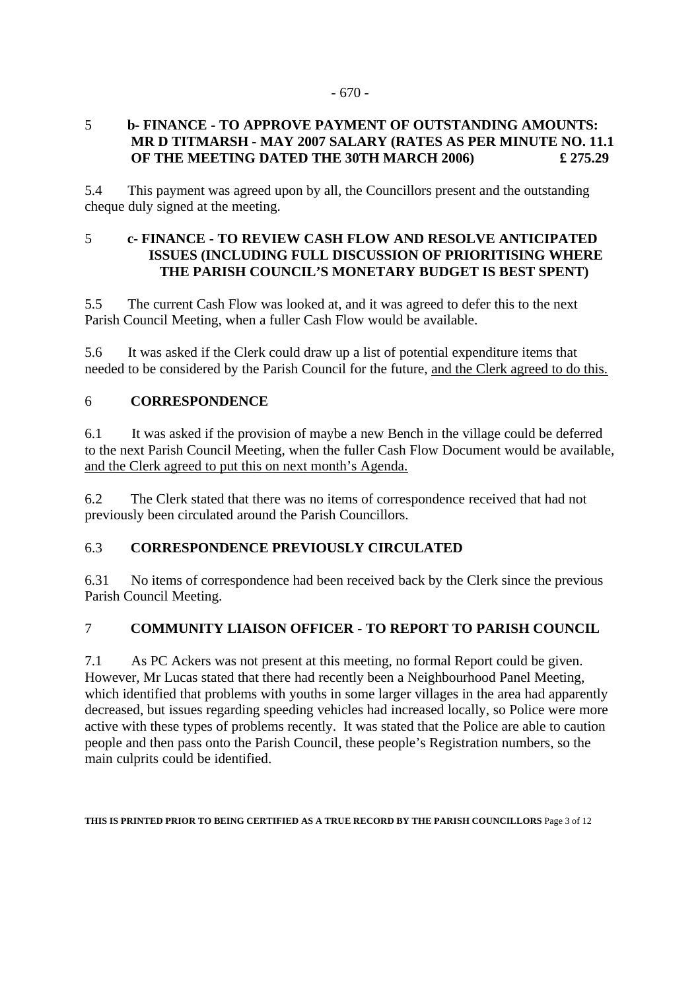#### - 670 -

### 5 **b- FINANCE - TO APPROVE PAYMENT OF OUTSTANDING AMOUNTS: MR D TITMARSH - MAY 2007 SALARY (RATES AS PER MINUTE NO. 11.1 OF THE MEETING DATED THE 30TH MARCH 2006)**  $£ 275.29$

5.4 This payment was agreed upon by all, the Councillors present and the outstanding cheque duly signed at the meeting.

### 5 **c- FINANCE - TO REVIEW CASH FLOW AND RESOLVE ANTICIPATED ISSUES (INCLUDING FULL DISCUSSION OF PRIORITISING WHERE THE PARISH COUNCIL'S MONETARY BUDGET IS BEST SPENT)**

5.5 The current Cash Flow was looked at, and it was agreed to defer this to the next Parish Council Meeting, when a fuller Cash Flow would be available.

5.6 It was asked if the Clerk could draw up a list of potential expenditure items that needed to be considered by the Parish Council for the future, and the Clerk agreed to do this.

### 6 **CORRESPONDENCE**

6.1 It was asked if the provision of maybe a new Bench in the village could be deferred to the next Parish Council Meeting, when the fuller Cash Flow Document would be available, and the Clerk agreed to put this on next month's Agenda.

6.2 The Clerk stated that there was no items of correspondence received that had not previously been circulated around the Parish Councillors.

### 6.3 **CORRESPONDENCE PREVIOUSLY CIRCULATED**

6.31 No items of correspondence had been received back by the Clerk since the previous Parish Council Meeting.

### 7 **COMMUNITY LIAISON OFFICER - TO REPORT TO PARISH COUNCIL**

7.1 As PC Ackers was not present at this meeting, no formal Report could be given. However, Mr Lucas stated that there had recently been a Neighbourhood Panel Meeting, which identified that problems with youths in some larger villages in the area had apparently decreased, but issues regarding speeding vehicles had increased locally, so Police were more active with these types of problems recently. It was stated that the Police are able to caution people and then pass onto the Parish Council, these people's Registration numbers, so the main culprits could be identified.

**THIS IS PRINTED PRIOR TO BEING CERTIFIED AS A TRUE RECORD BY THE PARISH COUNCILLORS** Page 3 of 12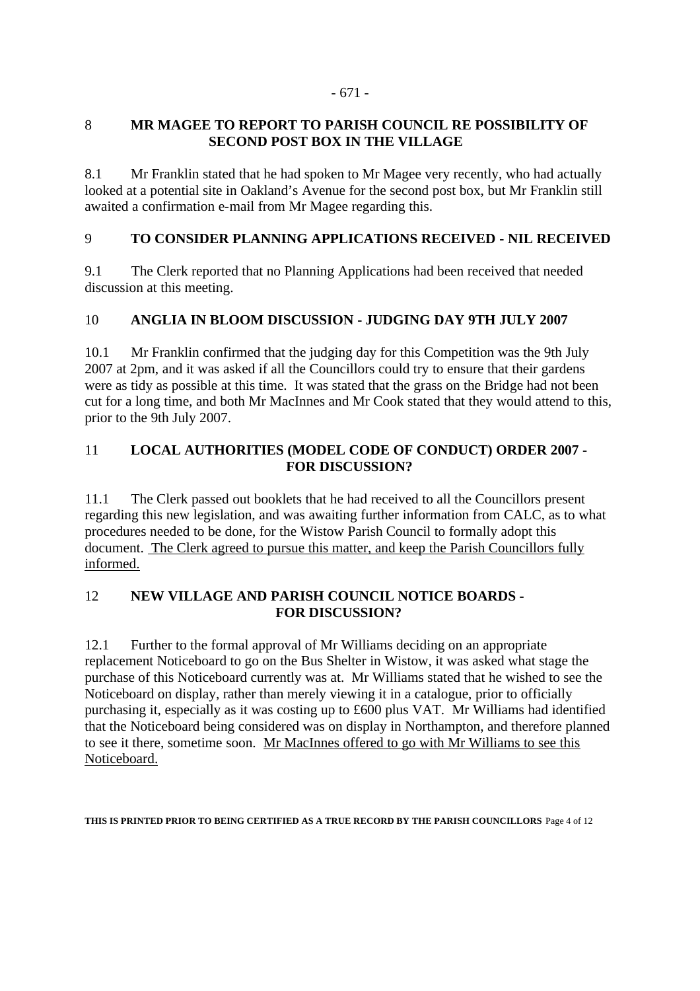#### - 671 -

### 8 **MR MAGEE TO REPORT TO PARISH COUNCIL RE POSSIBILITY OF SECOND POST BOX IN THE VILLAGE**

8.1 Mr Franklin stated that he had spoken to Mr Magee very recently, who had actually looked at a potential site in Oakland's Avenue for the second post box, but Mr Franklin still awaited a confirmation e-mail from Mr Magee regarding this.

## 9 **TO CONSIDER PLANNING APPLICATIONS RECEIVED - NIL RECEIVED**

9.1 The Clerk reported that no Planning Applications had been received that needed discussion at this meeting.

## 10 **ANGLIA IN BLOOM DISCUSSION - JUDGING DAY 9TH JULY 2007**

10.1 Mr Franklin confirmed that the judging day for this Competition was the 9th July 2007 at 2pm, and it was asked if all the Councillors could try to ensure that their gardens were as tidy as possible at this time. It was stated that the grass on the Bridge had not been cut for a long time, and both Mr MacInnes and Mr Cook stated that they would attend to this, prior to the 9th July 2007.

### 11 **LOCAL AUTHORITIES (MODEL CODE OF CONDUCT) ORDER 2007 - FOR DISCUSSION?**

11.1 The Clerk passed out booklets that he had received to all the Councillors present regarding this new legislation, and was awaiting further information from CALC, as to what procedures needed to be done, for the Wistow Parish Council to formally adopt this document. The Clerk agreed to pursue this matter, and keep the Parish Councillors fully informed.

### 12 **NEW VILLAGE AND PARISH COUNCIL NOTICE BOARDS - FOR DISCUSSION?**

12.1 Further to the formal approval of Mr Williams deciding on an appropriate replacement Noticeboard to go on the Bus Shelter in Wistow, it was asked what stage the purchase of this Noticeboard currently was at. Mr Williams stated that he wished to see the Noticeboard on display, rather than merely viewing it in a catalogue, prior to officially purchasing it, especially as it was costing up to £600 plus VAT. Mr Williams had identified that the Noticeboard being considered was on display in Northampton, and therefore planned to see it there, sometime soon. Mr MacInnes offered to go with Mr Williams to see this Noticeboard.

**THIS IS PRINTED PRIOR TO BEING CERTIFIED AS A TRUE RECORD BY THE PARISH COUNCILLORS** Page 4 of 12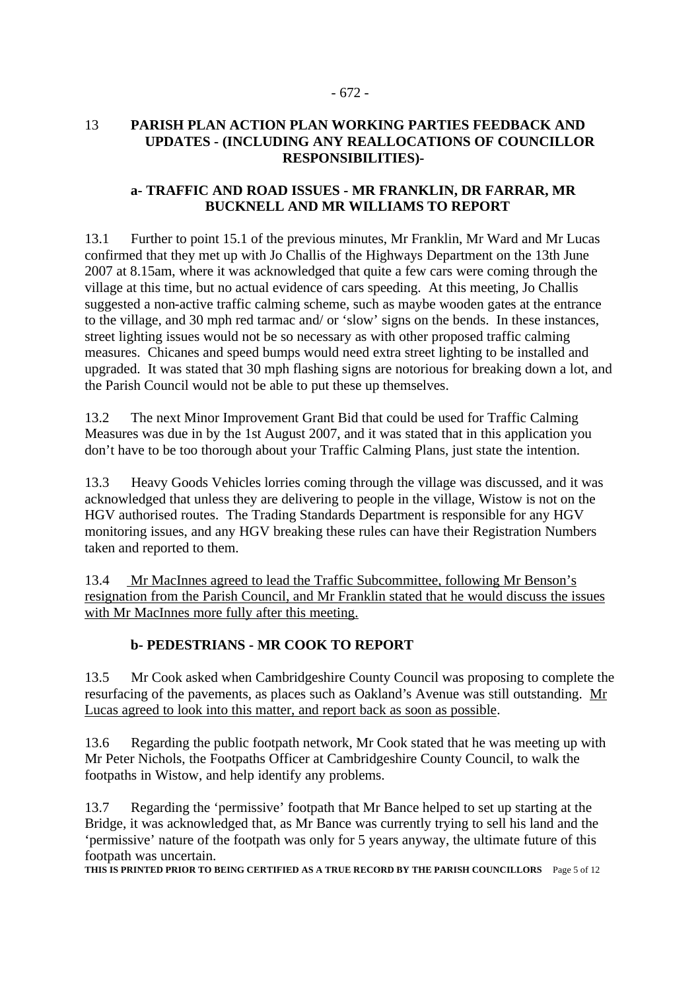#### - 672 -

#### 13 **PARISH PLAN ACTION PLAN WORKING PARTIES FEEDBACK AND UPDATES - (INCLUDING ANY REALLOCATIONS OF COUNCILLOR RESPONSIBILITIES)-**

#### **a- TRAFFIC AND ROAD ISSUES - MR FRANKLIN, DR FARRAR, MR BUCKNELL AND MR WILLIAMS TO REPORT**

13.1 Further to point 15.1 of the previous minutes, Mr Franklin, Mr Ward and Mr Lucas confirmed that they met up with Jo Challis of the Highways Department on the 13th June 2007 at 8.15am, where it was acknowledged that quite a few cars were coming through the village at this time, but no actual evidence of cars speeding. At this meeting, Jo Challis suggested a non-active traffic calming scheme, such as maybe wooden gates at the entrance to the village, and 30 mph red tarmac and/ or 'slow' signs on the bends. In these instances, street lighting issues would not be so necessary as with other proposed traffic calming measures. Chicanes and speed bumps would need extra street lighting to be installed and upgraded. It was stated that 30 mph flashing signs are notorious for breaking down a lot, and the Parish Council would not be able to put these up themselves.

13.2 The next Minor Improvement Grant Bid that could be used for Traffic Calming Measures was due in by the 1st August 2007, and it was stated that in this application you don't have to be too thorough about your Traffic Calming Plans, just state the intention.

13.3 Heavy Goods Vehicles lorries coming through the village was discussed, and it was acknowledged that unless they are delivering to people in the village, Wistow is not on the HGV authorised routes. The Trading Standards Department is responsible for any HGV monitoring issues, and any HGV breaking these rules can have their Registration Numbers taken and reported to them.

13.4 Mr MacInnes agreed to lead the Traffic Subcommittee, following Mr Benson's resignation from the Parish Council, and Mr Franklin stated that he would discuss the issues with Mr MacInnes more fully after this meeting.

### **b- PEDESTRIANS - MR COOK TO REPORT**

13.5 Mr Cook asked when Cambridgeshire County Council was proposing to complete the resurfacing of the pavements, as places such as Oakland's Avenue was still outstanding. Mr Lucas agreed to look into this matter, and report back as soon as possible.

13.6 Regarding the public footpath network, Mr Cook stated that he was meeting up with Mr Peter Nichols, the Footpaths Officer at Cambridgeshire County Council, to walk the footpaths in Wistow, and help identify any problems.

13.7 Regarding the 'permissive' footpath that Mr Bance helped to set up starting at the Bridge, it was acknowledged that, as Mr Bance was currently trying to sell his land and the 'permissive' nature of the footpath was only for 5 years anyway, the ultimate future of this footpath was uncertain.

**THIS IS PRINTED PRIOR TO BEING CERTIFIED AS A TRUE RECORD BY THE PARISH COUNCILLORS** Page 5 of 12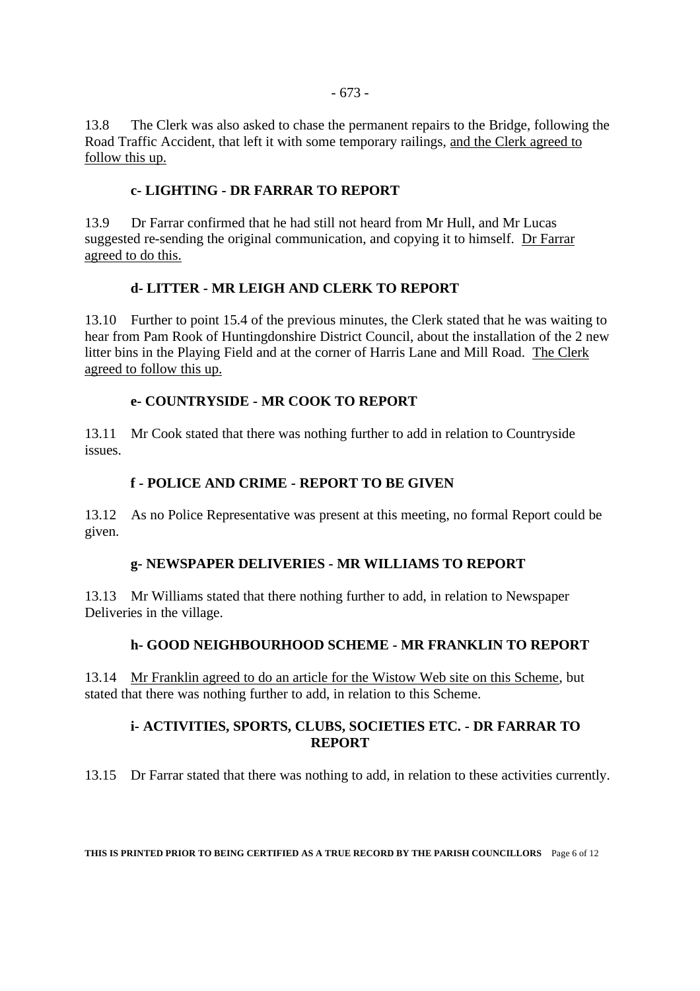13.8 The Clerk was also asked to chase the permanent repairs to the Bridge, following the Road Traffic Accident, that left it with some temporary railings, and the Clerk agreed to follow this up.

#### **c- LIGHTING - DR FARRAR TO REPORT**

13.9 Dr Farrar confirmed that he had still not heard from Mr Hull, and Mr Lucas suggested re-sending the original communication, and copying it to himself. Dr Farrar agreed to do this.

#### **d- LITTER - MR LEIGH AND CLERK TO REPORT**

13.10 Further to point 15.4 of the previous minutes, the Clerk stated that he was waiting to hear from Pam Rook of Huntingdonshire District Council, about the installation of the 2 new litter bins in the Playing Field and at the corner of Harris Lane and Mill Road. The Clerk agreed to follow this up.

#### **e- COUNTRYSIDE - MR COOK TO REPORT**

13.11 Mr Cook stated that there was nothing further to add in relation to Countryside issues.

#### **f - POLICE AND CRIME - REPORT TO BE GIVEN**

13.12 As no Police Representative was present at this meeting, no formal Report could be given.

### **g- NEWSPAPER DELIVERIES - MR WILLIAMS TO REPORT**

13.13 Mr Williams stated that there nothing further to add, in relation to Newspaper Deliveries in the village.

### **h- GOOD NEIGHBOURHOOD SCHEME - MR FRANKLIN TO REPORT**

13.14 Mr Franklin agreed to do an article for the Wistow Web site on this Scheme, but stated that there was nothing further to add, in relation to this Scheme.

#### **i- ACTIVITIES, SPORTS, CLUBS, SOCIETIES ETC. - DR FARRAR TO REPORT**

13.15 Dr Farrar stated that there was nothing to add, in relation to these activities currently.

**THIS IS PRINTED PRIOR TO BEING CERTIFIED AS A TRUE RECORD BY THE PARISH COUNCILLORS** Page 6 of 12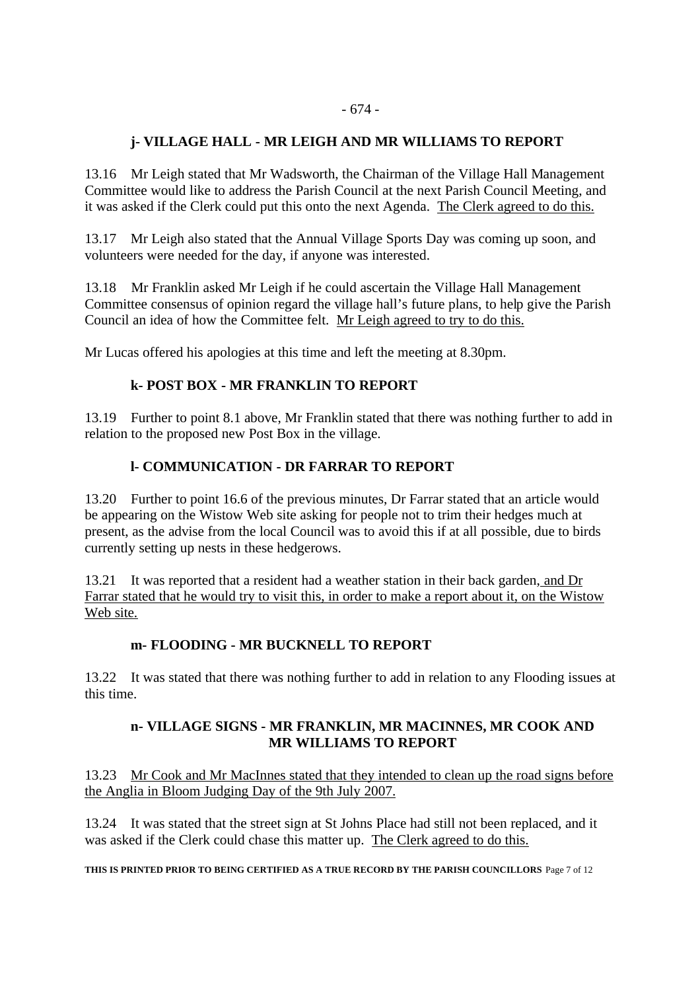### **j- VILLAGE HALL - MR LEIGH AND MR WILLIAMS TO REPORT**

13.16 Mr Leigh stated that Mr Wadsworth, the Chairman of the Village Hall Management Committee would like to address the Parish Council at the next Parish Council Meeting, and it was asked if the Clerk could put this onto the next Agenda. The Clerk agreed to do this.

13.17 Mr Leigh also stated that the Annual Village Sports Day was coming up soon, and volunteers were needed for the day, if anyone was interested.

13.18 Mr Franklin asked Mr Leigh if he could ascertain the Village Hall Management Committee consensus of opinion regard the village hall's future plans, to help give the Parish Council an idea of how the Committee felt. Mr Leigh agreed to try to do this.

Mr Lucas offered his apologies at this time and left the meeting at 8.30pm.

### **k- POST BOX - MR FRANKLIN TO REPORT**

13.19 Further to point 8.1 above, Mr Franklin stated that there was nothing further to add in relation to the proposed new Post Box in the village.

#### **l- COMMUNICATION - DR FARRAR TO REPORT**

13.20 Further to point 16.6 of the previous minutes, Dr Farrar stated that an article would be appearing on the Wistow Web site asking for people not to trim their hedges much at present, as the advise from the local Council was to avoid this if at all possible, due to birds currently setting up nests in these hedgerows.

13.21 It was reported that a resident had a weather station in their back garden, and Dr Farrar stated that he would try to visit this, in order to make a report about it, on the Wistow Web site.

#### **m- FLOODING - MR BUCKNELL TO REPORT**

13.22 It was stated that there was nothing further to add in relation to any Flooding issues at this time.

#### **n- VILLAGE SIGNS - MR FRANKLIN, MR MACINNES, MR COOK AND MR WILLIAMS TO REPORT**

13.23 Mr Cook and Mr MacInnes stated that they intended to clean up the road signs before the Anglia in Bloom Judging Day of the 9th July 2007.

13.24 It was stated that the street sign at St Johns Place had still not been replaced, and it was asked if the Clerk could chase this matter up. The Clerk agreed to do this.

**THIS IS PRINTED PRIOR TO BEING CERTIFIED AS A TRUE RECORD BY THE PARISH COUNCILLORS** Page 7 of 12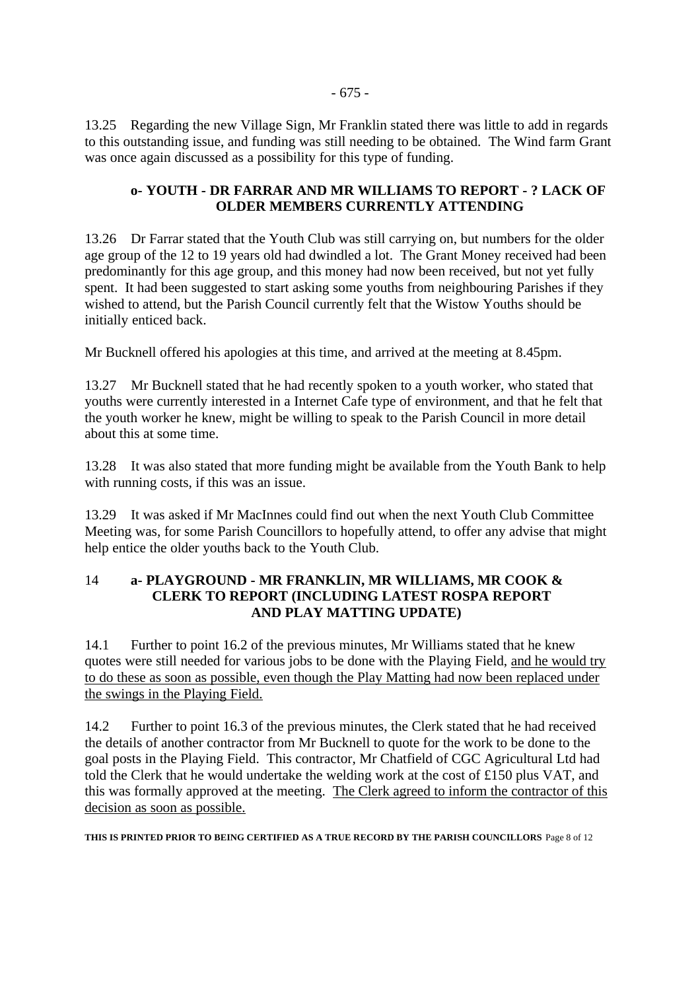13.25 Regarding the new Village Sign, Mr Franklin stated there was little to add in regards to this outstanding issue, and funding was still needing to be obtained. The Wind farm Grant was once again discussed as a possibility for this type of funding.

### **o- YOUTH - DR FARRAR AND MR WILLIAMS TO REPORT - ? LACK OF OLDER MEMBERS CURRENTLY ATTENDING**

13.26 Dr Farrar stated that the Youth Club was still carrying on, but numbers for the older age group of the 12 to 19 years old had dwindled a lot. The Grant Money received had been predominantly for this age group, and this money had now been received, but not yet fully spent. It had been suggested to start asking some youths from neighbouring Parishes if they wished to attend, but the Parish Council currently felt that the Wistow Youths should be initially enticed back.

Mr Bucknell offered his apologies at this time, and arrived at the meeting at 8.45pm.

13.27 Mr Bucknell stated that he had recently spoken to a youth worker, who stated that youths were currently interested in a Internet Cafe type of environment, and that he felt that the youth worker he knew, might be willing to speak to the Parish Council in more detail about this at some time.

13.28 It was also stated that more funding might be available from the Youth Bank to help with running costs, if this was an issue.

13.29 It was asked if Mr MacInnes could find out when the next Youth Club Committee Meeting was, for some Parish Councillors to hopefully attend, to offer any advise that might help entice the older youths back to the Youth Club.

#### 14 **a- PLAYGROUND - MR FRANKLIN, MR WILLIAMS, MR COOK & CLERK TO REPORT (INCLUDING LATEST ROSPA REPORT AND PLAY MATTING UPDATE)**

14.1 Further to point 16.2 of the previous minutes, Mr Williams stated that he knew quotes were still needed for various jobs to be done with the Playing Field, and he would try to do these as soon as possible, even though the Play Matting had now been replaced under the swings in the Playing Field.

14.2 Further to point 16.3 of the previous minutes, the Clerk stated that he had received the details of another contractor from Mr Bucknell to quote for the work to be done to the goal posts in the Playing Field. This contractor, Mr Chatfield of CGC Agricultural Ltd had told the Clerk that he would undertake the welding work at the cost of £150 plus VAT, and this was formally approved at the meeting. The Clerk agreed to inform the contractor of this decision as soon as possible.

**THIS IS PRINTED PRIOR TO BEING CERTIFIED AS A TRUE RECORD BY THE PARISH COUNCILLORS** Page 8 of 12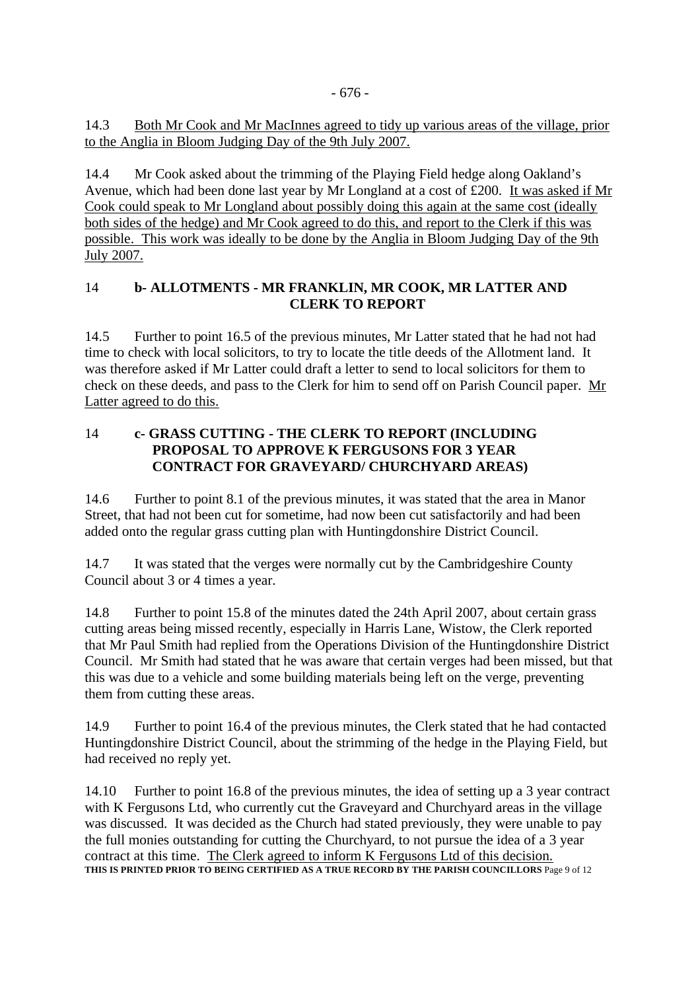### 14.3 Both Mr Cook and Mr MacInnes agreed to tidy up various areas of the village, prior to the Anglia in Bloom Judging Day of the 9th July 2007.

14.4 Mr Cook asked about the trimming of the Playing Field hedge along Oakland's Avenue, which had been done last year by Mr Longland at a cost of £200. It was asked if Mr Cook could speak to Mr Longland about possibly doing this again at the same cost (ideally both sides of the hedge) and Mr Cook agreed to do this, and report to the Clerk if this was possible. This work was ideally to be done by the Anglia in Bloom Judging Day of the 9th July 2007.

### 14 **b- ALLOTMENTS - MR FRANKLIN, MR COOK, MR LATTER AND CLERK TO REPORT**

14.5 Further to point 16.5 of the previous minutes, Mr Latter stated that he had not had time to check with local solicitors, to try to locate the title deeds of the Allotment land. It was therefore asked if Mr Latter could draft a letter to send to local solicitors for them to check on these deeds, and pass to the Clerk for him to send off on Parish Council paper. Mr Latter agreed to do this.

### 14 **c- GRASS CUTTING - THE CLERK TO REPORT (INCLUDING PROPOSAL TO APPROVE K FERGUSONS FOR 3 YEAR CONTRACT FOR GRAVEYARD/ CHURCHYARD AREAS)**

14.6 Further to point 8.1 of the previous minutes, it was stated that the area in Manor Street, that had not been cut for sometime, had now been cut satisfactorily and had been added onto the regular grass cutting plan with Huntingdonshire District Council.

14.7 It was stated that the verges were normally cut by the Cambridgeshire County Council about 3 or 4 times a year.

14.8 Further to point 15.8 of the minutes dated the 24th April 2007, about certain grass cutting areas being missed recently, especially in Harris Lane, Wistow, the Clerk reported that Mr Paul Smith had replied from the Operations Division of the Huntingdonshire District Council. Mr Smith had stated that he was aware that certain verges had been missed, but that this was due to a vehicle and some building materials being left on the verge, preventing them from cutting these areas.

14.9 Further to point 16.4 of the previous minutes, the Clerk stated that he had contacted Huntingdonshire District Council, about the strimming of the hedge in the Playing Field, but had received no reply yet.

14.10 Further to point 16.8 of the previous minutes, the idea of setting up a 3 year contract with K Fergusons Ltd, who currently cut the Graveyard and Churchyard areas in the village was discussed. It was decided as the Church had stated previously, they were unable to pay the full monies outstanding for cutting the Churchyard, to not pursue the idea of a 3 year contract at this time. The Clerk agreed to inform K Fergusons Ltd of this decision. **THIS IS PRINTED PRIOR TO BEING CERTIFIED AS A TRUE RECORD BY THE PARISH COUNCILLORS** Page 9 of 12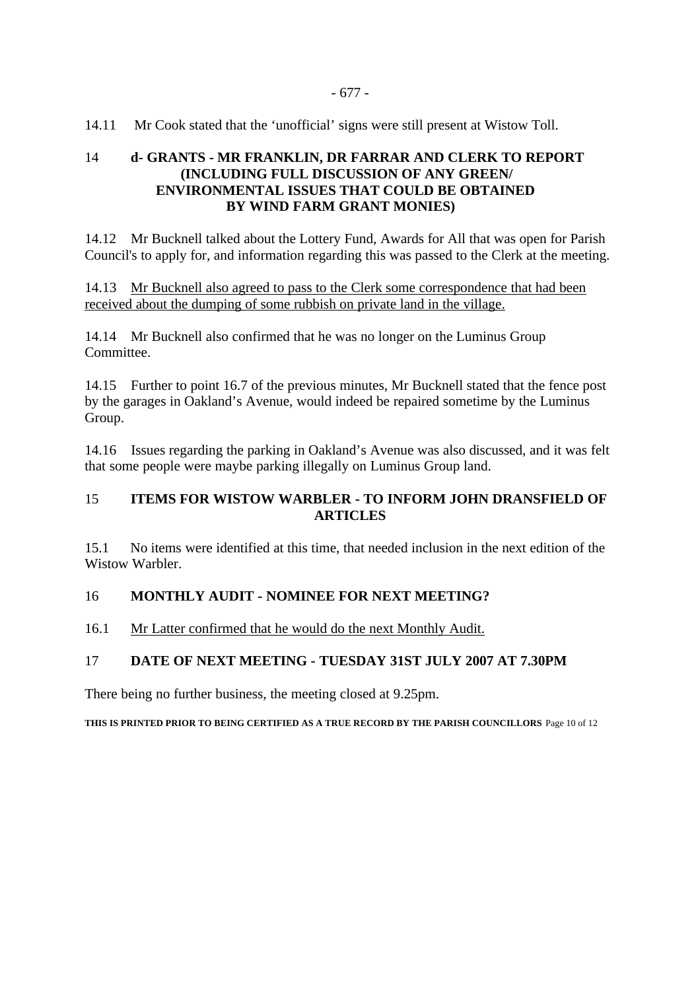14.11 Mr Cook stated that the 'unofficial' signs were still present at Wistow Toll.

### 14 **d- GRANTS - MR FRANKLIN, DR FARRAR AND CLERK TO REPORT (INCLUDING FULL DISCUSSION OF ANY GREEN/ ENVIRONMENTAL ISSUES THAT COULD BE OBTAINED BY WIND FARM GRANT MONIES)**

14.12 Mr Bucknell talked about the Lottery Fund, Awards for All that was open for Parish Council's to apply for, and information regarding this was passed to the Clerk at the meeting.

14.13 Mr Bucknell also agreed to pass to the Clerk some correspondence that had been received about the dumping of some rubbish on private land in the village.

14.14 Mr Bucknell also confirmed that he was no longer on the Luminus Group Committee.

14.15 Further to point 16.7 of the previous minutes, Mr Bucknell stated that the fence post by the garages in Oakland's Avenue, would indeed be repaired sometime by the Luminus Group.

14.16 Issues regarding the parking in Oakland's Avenue was also discussed, and it was felt that some people were maybe parking illegally on Luminus Group land.

#### 15 **ITEMS FOR WISTOW WARBLER - TO INFORM JOHN DRANSFIELD OF ARTICLES**

15.1 No items were identified at this time, that needed inclusion in the next edition of the Wistow Warbler

### 16 **MONTHLY AUDIT - NOMINEE FOR NEXT MEETING?**

16.1 Mr Latter confirmed that he would do the next Monthly Audit.

### 17 **DATE OF NEXT MEETING - TUESDAY 31ST JULY 2007 AT 7.30PM**

There being no further business, the meeting closed at 9.25pm.

**THIS IS PRINTED PRIOR TO BEING CERTIFIED AS A TRUE RECORD BY THE PARISH COUNCILLORS** Page 10 of 12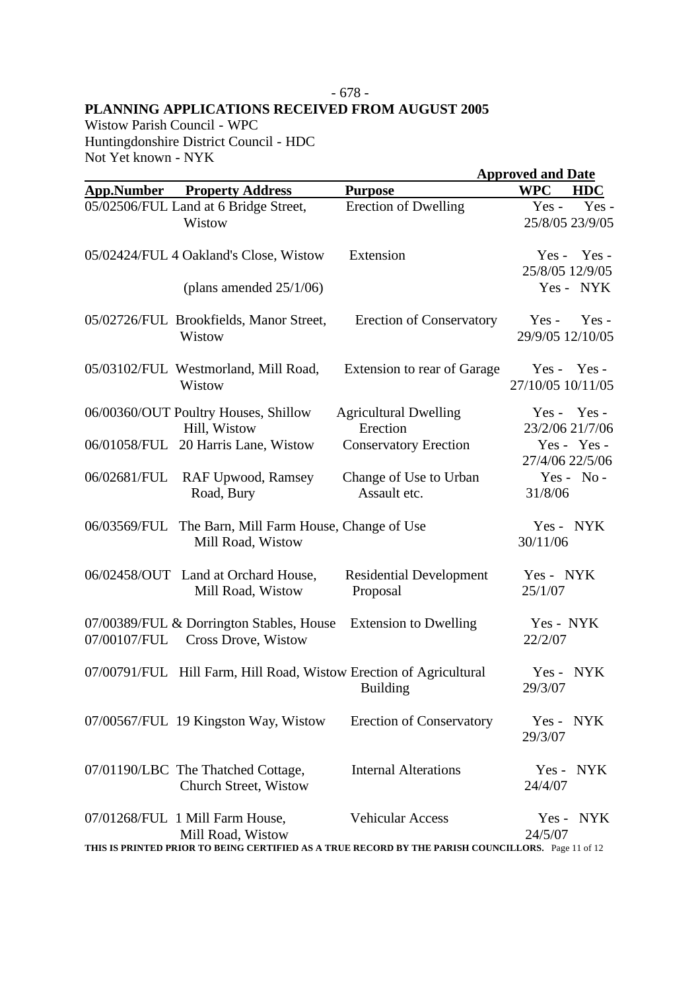# - 678 - **PLANNING APPLICATIONS RECEIVED FROM AUGUST 2005**

Wistow Parish Council - WPC Huntingdonshire District Council - HDC Not Yet known - NYK

|                   |                                                                    |                                                                                                    | <b>Approved and Date</b>               |  |
|-------------------|--------------------------------------------------------------------|----------------------------------------------------------------------------------------------------|----------------------------------------|--|
| <b>App.Number</b> | <b>Property Address</b>                                            | <b>Purpose</b>                                                                                     | <b>WPC</b><br><b>HDC</b>               |  |
|                   | 05/02506/FUL Land at 6 Bridge Street,<br>Wistow                    | <b>Erection of Dwelling</b>                                                                        | Yes-<br>$Yes -$<br>25/8/05 23/9/05     |  |
|                   | 05/02424/FUL 4 Oakland's Close, Wistow                             | Extension                                                                                          | Yes -<br>$Yes -$<br>25/8/05 12/9/05    |  |
|                   | (plans amended $25/1/06$ )                                         |                                                                                                    | Yes - NYK                              |  |
|                   | 05/02726/FUL Brookfields, Manor Street,<br>Wistow                  | <b>Erection of Conservatory</b>                                                                    | $Yes -$<br>$Yes -$<br>29/9/05 12/10/05 |  |
|                   | 05/03102/FUL Westmorland, Mill Road,<br>Wistow                     | Extension to rear of Garage                                                                        | $Yes - Yes -$<br>27/10/05 10/11/05     |  |
|                   | 06/00360/OUT Poultry Houses, Shillow<br>Hill, Wistow               | <b>Agricultural Dwelling</b><br>Erection                                                           | $Yes - Yes -$<br>23/2/06 21/7/06       |  |
|                   | 06/01058/FUL 20 Harris Lane, Wistow                                | <b>Conservatory Erection</b>                                                                       | Yes - Yes -<br>27/4/06 22/5/06         |  |
| 06/02681/FUL      | RAF Upwood, Ramsey<br>Road, Bury                                   | Change of Use to Urban<br>Assault etc.                                                             | $Yes - No -$<br>31/8/06                |  |
| 06/03569/FUL      | The Barn, Mill Farm House, Change of Use<br>Mill Road, Wistow      |                                                                                                    | Yes - NYK<br>30/11/06                  |  |
|                   | 06/02458/OUT Land at Orchard House,<br>Mill Road, Wistow           | <b>Residential Development</b><br>Proposal                                                         | Yes - NYK<br>25/1/07                   |  |
| 07/00107/FUL      | 07/00389/FUL & Dorrington Stables, House<br>Cross Drove, Wistow    | <b>Extension to Dwelling</b>                                                                       | Yes - NYK<br>22/2/07                   |  |
|                   | 07/00791/FUL Hill Farm, Hill Road, Wistow Erection of Agricultural | <b>Building</b>                                                                                    | NYK<br>$Yes -$<br>29/3/07              |  |
|                   | 07/00567/FUL 19 Kingston Way, Wistow                               | <b>Erection of Conservatory</b>                                                                    | Yes - NYK<br>29/3/07                   |  |
|                   | 07/01190/LBC The Thatched Cottage,<br>Church Street, Wistow        | <b>Internal Alterations</b>                                                                        | Yes - NYK<br>24/4/07                   |  |
|                   | 07/01268/FUL 1 Mill Farm House,<br>Mill Road, Wistow               | <b>Vehicular Access</b>                                                                            | Yes - NYK<br>24/5/07                   |  |
|                   |                                                                    | THIS IS PRINTED PRIOR TO BEING CERTIFIED AS A TRUE RECORD BY THE PARISH COUNCILLORS. Page 11 of 12 |                                        |  |